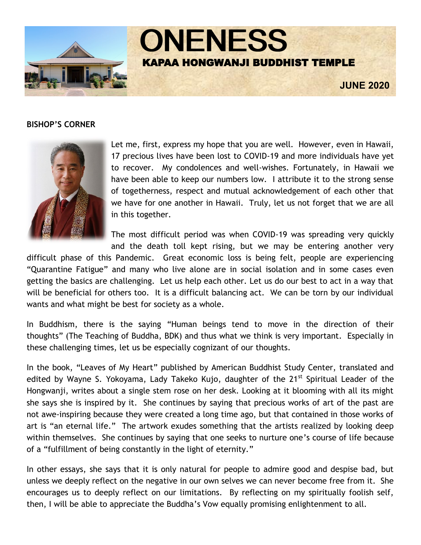

#### **BISHOP'S CORNER**



Let me, first, express my hope that you are well. However, even in Hawaii, 17 precious lives have been lost to COVID-19 and more individuals have yet to recover. My condolences and well-wishes. Fortunately, in Hawaii we have been able to keep our numbers low. I attribute it to the strong sense of togetherness, respect and mutual acknowledgement of each other that we have for one another in Hawaii. Truly, let us not forget that we are all in this together.

The most difficult period was when COVID-19 was spreading very quickly and the death toll kept rising, but we may be entering another very

difficult phase of this Pandemic. Great economic loss is being felt, people are experiencing "Quarantine Fatigue" and many who live alone are in social isolation and in some cases even getting the basics are challenging. Let us help each other. Let us do our best to act in a way that will be beneficial for others too. It is a difficult balancing act. We can be torn by our individual wants and what might be best for society as a whole.

In Buddhism, there is the saying "Human beings tend to move in the direction of their thoughts" (The Teaching of Buddha, BDK) and thus what we think is very important. Especially in these challenging times, let us be especially cognizant of our thoughts.

In the book, "Leaves of My Heart" published by American Buddhist Study Center, translated and edited by Wayne S. Yokoyama, Lady Takeko Kujo, daughter of the 21<sup>st</sup> Spiritual Leader of the Hongwanji, writes about a single stem rose on her desk. Looking at it blooming with all its might she says she is inspired by it. She continues by saying that precious works of art of the past are not awe-inspiring because they were created a long time ago, but that contained in those works of art is "an eternal life." The artwork exudes something that the artists realized by looking deep within themselves. She continues by saying that one seeks to nurture one's course of life because of a "fulfillment of being constantly in the light of eternity."

In other essays, she says that it is only natural for people to admire good and despise bad, but unless we deeply reflect on the negative in our own selves we can never become free from it. She encourages us to deeply reflect on our limitations. By reflecting on my spiritually foolish self, then, I will be able to appreciate the Buddha's Vow equally promising enlightenment to all.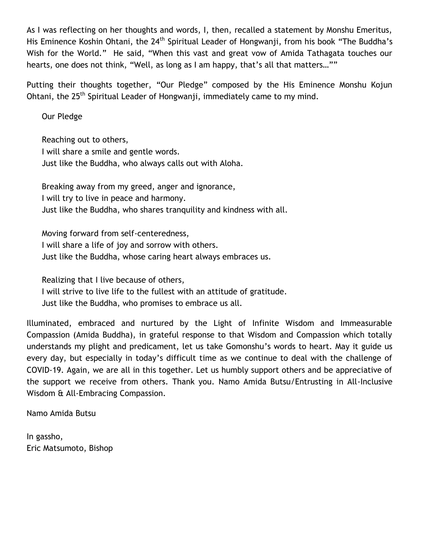As I was reflecting on her thoughts and words, I, then, recalled a statement by Monshu Emeritus, His Eminence Koshin Ohtani, the 24<sup>th</sup> Spiritual Leader of Hongwanji, from his book "The Buddha's Wish for the World." He said, "When this vast and great vow of Amida Tathagata touches our hearts, one does not think, "Well, as long as I am happy, that's all that matters…""

Putting their thoughts together, "Our Pledge" composed by the His Eminence Monshu Kojun Ohtani, the  $25<sup>th</sup>$  Spiritual Leader of Hongwanji, immediately came to my mind.

Our Pledge

Reaching out to others, I will share a smile and gentle words. Just like the Buddha, who always calls out with Aloha.

Breaking away from my greed, anger and ignorance, I will try to live in peace and harmony. Just like the Buddha, who shares tranquility and kindness with all.

Moving forward from self-centeredness, I will share a life of joy and sorrow with others. Just like the Buddha, whose caring heart always embraces us.

Realizing that I live because of others, I will strive to live life to the fullest with an attitude of gratitude.

Just like the Buddha, who promises to embrace us all.

Illuminated, embraced and nurtured by the Light of Infinite Wisdom and Immeasurable Compassion (Amida Buddha), in grateful response to that Wisdom and Compassion which totally understands my plight and predicament, let us take Gomonshu's words to heart. May it guide us every day, but especially in today's difficult time as we continue to deal with the challenge of COVID-19. Again, we are all in this together. Let us humbly support others and be appreciative of the support we receive from others. Thank you. Namo Amida Butsu/Entrusting in All-Inclusive Wisdom & All-Embracing Compassion.

Namo Amida Butsu

In gassho, Eric Matsumoto, Bishop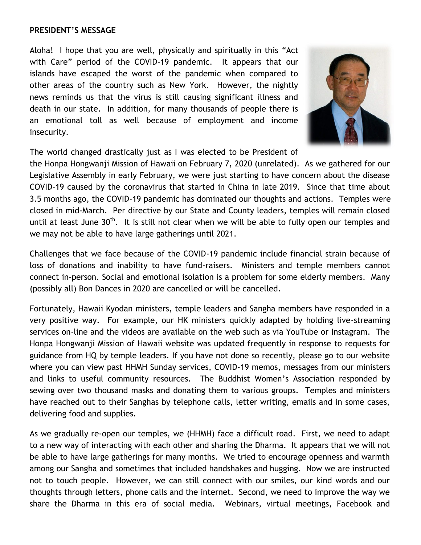#### **PRESIDENT'S MESSAGE**

Aloha! I hope that you are well, physically and spiritually in this "Act with Care" period of the COVID-19 pandemic. It appears that our islands have escaped the worst of the pandemic when compared to other areas of the country such as New York. However, the nightly news reminds us that the virus is still causing significant illness and death in our state. In addition, for many thousands of people there is an emotional toll as well because of employment and income insecurity.



The world changed drastically just as I was elected to be President of

the Honpa Hongwanji Mission of Hawaii on February 7, 2020 (unrelated). As we gathered for our Legislative Assembly in early February, we were just starting to have concern about the disease COVID-19 caused by the coronavirus that started in China in late 2019. Since that time about 3.5 months ago, the COVID-19 pandemic has dominated our thoughts and actions. Temples were closed in mid-March. Per directive by our State and County leaders, temples will remain closed until at least June 30<sup>th</sup>. It is still not clear when we will be able to fully open our temples and we may not be able to have large gatherings until 2021.

Challenges that we face because of the COVID-19 pandemic include financial strain because of loss of donations and inability to have fund-raisers. Ministers and temple members cannot connect in-person. Social and emotional isolation is a problem for some elderly members. Many (possibly all) Bon Dances in 2020 are cancelled or will be cancelled.

Fortunately, Hawaii Kyodan ministers, temple leaders and Sangha members have responded in a very positive way. For example, our HK ministers quickly adapted by holding live-streaming services on-line and the videos are available on the web such as via YouTube or Instagram. The Honpa Hongwanji Mission of Hawaii website was updated frequently in response to requests for guidance from HQ by temple leaders. If you have not done so recently, please go to our website where you can view past HHMH Sunday services, COVID-19 memos, messages from our ministers and links to useful community resources. The Buddhist Women's Association responded by sewing over two thousand masks and donating them to various groups. Temples and ministers have reached out to their Sanghas by telephone calls, letter writing, emails and in some cases, delivering food and supplies.

As we gradually re-open our temples, we (HHMH) face a difficult road. First, we need to adapt to a new way of interacting with each other and sharing the Dharma. It appears that we will not be able to have large gatherings for many months. We tried to encourage openness and warmth among our Sangha and sometimes that included handshakes and hugging. Now we are instructed not to touch people. However, we can still connect with our smiles, our kind words and our thoughts through letters, phone calls and the internet. Second, we need to improve the way we share the Dharma in this era of social media. Webinars, virtual meetings, Facebook and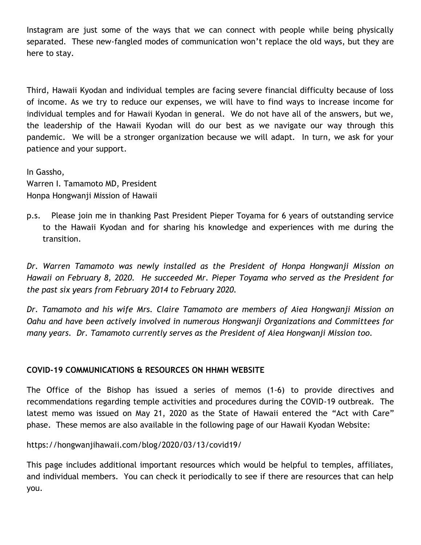Instagram are just some of the ways that we can connect with people while being physically separated. These new-fangled modes of communication won't replace the old ways, but they are here to stay.

Third, Hawaii Kyodan and individual temples are facing severe financial difficulty because of loss of income. As we try to reduce our expenses, we will have to find ways to increase income for individual temples and for Hawaii Kyodan in general. We do not have all of the answers, but we, the leadership of the Hawaii Kyodan will do our best as we navigate our way through this pandemic. We will be a stronger organization because we will adapt. In turn, we ask for your patience and your support.

In Gassho, Warren I. Tamamoto MD, President Honpa Hongwanji Mission of Hawaii

p.s. Please join me in thanking Past President Pieper Toyama for 6 years of outstanding service to the Hawaii Kyodan and for sharing his knowledge and experiences with me during the transition.

*Dr. Warren Tamamoto was newly installed as the President of Honpa Hongwanji Mission on Hawaii on February 8, 2020. He succeeded Mr. Pieper Toyama who served as the President for the past six years from February 2014 to February 2020.*

*Dr. Tamamoto and his wife Mrs. Claire Tamamoto are members of Aiea Hongwanji Mission on Oahu and have been actively involved in numerous Hongwanji Organizations and Committees for many years. Dr. Tamamoto currently serves as the President of Aiea Hongwanji Mission too.*

# **COVID-19 COMMUNICATIONS & RESOURCES ON HHMH WEBSITE**

The Office of the Bishop has issued a series of memos (1-6) to provide directives and recommendations regarding temple activities and procedures during the COVID-19 outbreak. The latest memo was issued on May 21, 2020 as the State of Hawaii entered the "Act with Care" phase. These memos are also available in the following page of our Hawaii Kyodan Website:

https://hongwanjihawaii.com/blog/2020/03/13/covid19/

This page includes additional important resources which would be helpful to temples, affiliates, and individual members. You can check it periodically to see if there are resources that can help you.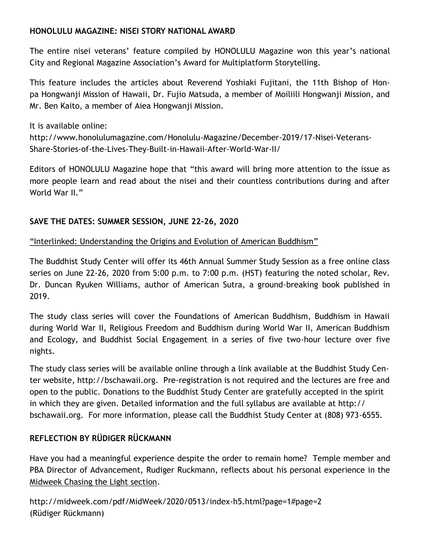# **HONOLULU MAGAZINE: NISEI STORY NATIONAL AWARD**

The entire nisei veterans' feature compiled by HONOLULU Magazine won this year's national City and Regional Magazine Association's Award for Multiplatform Storytelling.

This feature includes the articles about Reverend Yoshiaki Fujitani, the 11th Bishop of Honpa Hongwanji Mission of Hawaii, Dr. Fujio Matsuda, a member of Moiliili Hongwanji Mission, and Mr. Ben Kaito, a member of Aiea Hongwanji Mission.

It is available online:

http://www.honolulumagazine.com/Honolulu-Magazine/December-2019/17-Nisei-Veterans-Share-Stories-of-the-Lives-They-Built-in-Hawaii-After-World-War-II/

Editors of HONOLULU Magazine hope that "this award will bring more attention to the issue as more people learn and read about the nisei and their countless contributions during and after World War II."

# **SAVE THE DATES: SUMMER SESSION, JUNE 22-26, 2020**

"Interlinked: Understanding the Origins and Evolution of American Buddhism"

The Buddhist Study Center will offer its 46th Annual Summer Study Session as a free online class series on June 22-26, 2020 from 5:00 p.m. to 7:00 p.m. (HST) featuring the noted scholar, Rev. Dr. Duncan Ryuken Williams, author of American Sutra, a ground-breaking book published in 2019.

The study class series will cover the Foundations of American Buddhism, Buddhism in Hawaii during World War II, Religious Freedom and Buddhism during World War II, American Buddhism and Ecology, and Buddhist Social Engagement in a series of five two-hour lecture over five nights.

The study class series will be available online through a link available at the Buddhist Study Center website, http://bschawaii.org. Pre-registration is not required and the lectures are free and open to the public. Donations to the Buddhist Study Center are gratefully accepted in the spirit in which they are given. Detailed information and the full syllabus are available at http:// bschawaii.org. For more information, please call the Buddhist Study Center at (808) 973-6555.

# **REFLECTION BY RÜDIGER RÜCKMANN**

Have you had a meaningful experience despite the order to remain home? Temple member and PBA Director of Advancement, Rudiger Ruckmann, reflects about his personal experience in the [Midweek Chasing the Light section.](https://hawaiibetsuin.us3.list-manage.com/track/click?u=8c951d89093120add002f87c2&id=8b911a1a08&e=68b09c8c32)

```
http://midweek.com/pdf/MidWeek/2020/0513/index-h5.html?page=1#page=2
(Rüdiger Rückmann)
```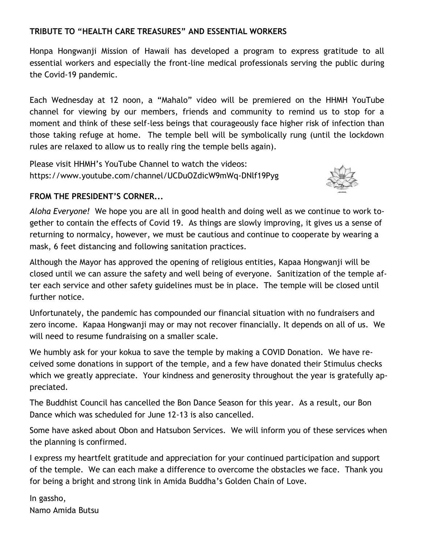# **TRIBUTE TO "HEALTH CARE TREASURES" AND ESSENTIAL WORKERS**

Honpa Hongwanji Mission of Hawaii has developed a program to express gratitude to all essential workers and especially the front-line medical professionals serving the public during the Covid-19 pandemic.

Each Wednesday at 12 noon, a "Mahalo" video will be premiered on the HHMH YouTube channel for viewing by our members, friends and community to remind us to stop for a moment and think of these self-less beings that courageously face higher risk of infection than those taking refuge at home. The temple bell will be symbolically rung (until the lockdown rules are relaxed to allow us to really ring the temple bells again).

Please visit HHMH's YouTube Channel to watch the videos: https://www.youtube.com/channel/UCDuOZdicW9mWq-DNlf19Pyg



# **FROM THE PRESIDENT'S CORNER...**

*Aloha Everyone!* We hope you are all in good health and doing well as we continue to work together to contain the effects of Covid 19. As things are slowly improving, it gives us a sense of returning to normalcy, however, we must be cautious and continue to cooperate by wearing a mask, 6 feet distancing and following sanitation practices.

Although the Mayor has approved the opening of religious entities, Kapaa Hongwanji will be closed until we can assure the safety and well being of everyone. Sanitization of the temple after each service and other safety guidelines must be in place. The temple will be closed until further notice.

Unfortunately, the pandemic has compounded our financial situation with no fundraisers and zero income. Kapaa Hongwanji may or may not recover financially. It depends on all of us. We will need to resume fundraising on a smaller scale.

We humbly ask for your kokua to save the temple by making a COVID Donation. We have received some donations in support of the temple, and a few have donated their Stimulus checks which we greatly appreciate. Your kindness and generosity throughout the year is gratefully appreciated.

The Buddhist Council has cancelled the Bon Dance Season for this year. As a result, our Bon Dance which was scheduled for June 12-13 is also cancelled.

Some have asked about Obon and Hatsubon Services. We will inform you of these services when the planning is confirmed.

I express my heartfelt gratitude and appreciation for your continued participation and support of the temple. We can each make a difference to overcome the obstacles we face. Thank you for being a bright and strong link in Amida Buddha's Golden Chain of Love.

In gassho, Namo Amida Butsu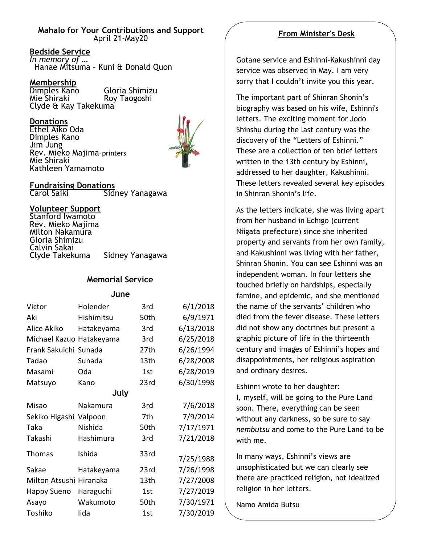#### **Mahalo for Your Contributions and Support** April 21-May20

#### **Bedside Service**

*In memory of …* Hanae Mitsuma – Kuni & Donald Quon

#### **Membership**

Dimples Kano Gloria Shimizu Mie Shiraki Roy Taogoshi Clyde & Kay Takekuma

#### **Donations**

Ethel Aiko Oda Dimples Kano Jim Jung Rev. Mieko Majima-printers Mie Shiraki Kathleen Yamamoto



# **Fundraising Donations**

Sidney Yanagawa

#### **Volunteer Support**

Stanford Iwamoto Rev. Mieko Majima Milton Nakamura Gloria Shimizu Calvin Sakai<br>Clyde Takekuma Sidney Yanagawa

### **Memorial Service**

**June**

| Victor                  | Holender   | 3rd  | 6/1/2018  |
|-------------------------|------------|------|-----------|
| Aki                     | Hishimitsu | 50th | 6/9/1971  |
| Alice Akiko             | Hatakeyama | 3rd  | 6/13/2018 |
| Michael Kazuo           | Hatakeyama | 3rd  | 6/25/2018 |
| Frank Sakuichi Sunada   |            | 27th | 6/26/1994 |
| Tadao                   | Sunada     | 13th | 6/28/2008 |
| Masami                  | Oda        | 1st  | 6/28/2019 |
| Matsuyo                 | Kano       | 23rd | 6/30/1998 |
| July                    |            |      |           |
| Misao                   | Nakamura   | 3rd  | 7/6/2018  |
| Sekiko Higashi          | Valpoon    | 7th  | 7/9/2014  |
| Taka                    | Nishida    | 50th | 7/17/1971 |
| Takashi                 | Hashimura  | 3rd  | 7/21/2018 |
| Thomas                  | Ishida     | 33rd | 7/25/1988 |
| Sakae                   | Hatakeyama | 23rd | 7/26/1998 |
| Milton Atsushi Hiranaka |            | 13th | 7/27/2008 |
| <b>Happy Sueno</b>      | Haraguchi  | 1st  | 7/27/2019 |
| Asayo                   | Wakumoto   | 50th | 7/30/1971 |
| Toshiko                 | lida       | 1st  | 7/30/2019 |

# **From Minister's Desk**

Gotane service and Eshinni-Kakushinni day service was observed in May. I am very sorry that I couldn't invite you this year.

The important part of Shinran Shonin's biography was based on his wife, Eshinni's letters. The exciting moment for Jodo Shinshu during the last century was the discovery of the "Letters of Eshinni." These are a collection of ten brief letters written in the 13th century by Eshinni, addressed to her daughter, Kakushinni. These letters revealed several key episodes in Shinran Shonin's life.

As the letters indicate, she was living apart from her husband in Echigo (current Niigata prefecture) since she inherited property and servants from her own family, and Kakushinni was living with her father, Shinran Shonin. You can see Eshinni was an independent woman. In four letters she touched briefly on hardships, especially famine, and epidemic, and she mentioned the name of the servants' children who died from the fever disease. These letters did not show any doctrines but present a graphic picture of life in the thirteenth century and images of Eshinni's hopes and disappointments, her religious aspiration and ordinary desires.

Eshinni wrote to her daughter: I, myself, will be going to the Pure Land soon. There, everything can be seen without any darkness, so be sure to say *nembutsu* and come to the Pure Land to be with me.

In many ways, Eshinni's views are unsophisticated but we can clearly see there are practiced religion, not idealized religion in her letters.

Namo Amida Butsu